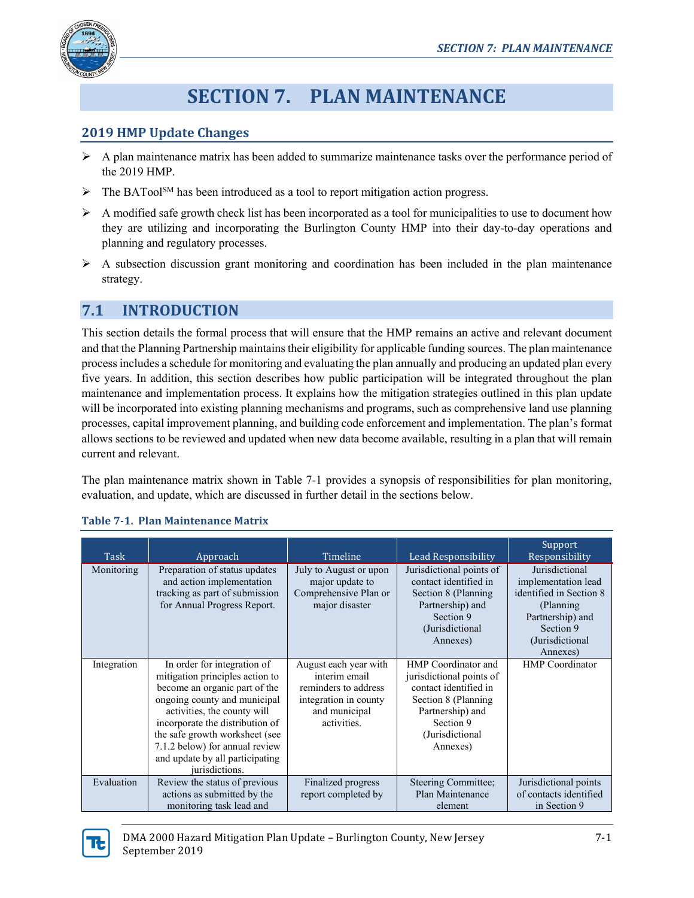

# **SECTION 7. PLAN MAINTENANCE**

#### **2019 HMP Update Changes**

- $\triangleright$  A plan maintenance matrix has been added to summarize maintenance tasks over the performance period of the 2019 HMP.
- $\triangleright$  The BATool<sup>SM</sup> has been introduced as a tool to report mitigation action progress.
- $\triangleright$  A modified safe growth check list has been incorporated as a tool for municipalities to use to document how they are utilizing and incorporating the Burlington County HMP into their day-to-day operations and planning and regulatory processes.
- $\triangleright$  A subsection discussion grant monitoring and coordination has been included in the plan maintenance strategy.

## **7.1 INTRODUCTION**

This section details the formal process that will ensure that the HMP remains an active and relevant document and that the Planning Partnership maintains their eligibility for applicable funding sources. The plan maintenance process includes a schedule for monitoring and evaluating the plan annually and producing an updated plan every five years. In addition, this section describes how public participation will be integrated throughout the plan maintenance and implementation process. It explains how the mitigation strategies outlined in this plan update will be incorporated into existing planning mechanisms and programs, such as comprehensive land use planning processes, capital improvement planning, and building code enforcement and implementation. The plan's format allows sections to be reviewed and updated when new data become available, resulting in a plan that will remain current and relevant.

The plan maintenance matrix shown in Table 7-1 provides a synopsis of responsibilities for plan monitoring, evaluation, and update, which are discussed in further detail in the sections below.

| Task        | Approach                                                                                                                                                                                                                                                                                                                   | Timeline                                                                                                                | Lead Responsibility                                                                                                                                               | Support<br>Responsibility                                                                                                                      |
|-------------|----------------------------------------------------------------------------------------------------------------------------------------------------------------------------------------------------------------------------------------------------------------------------------------------------------------------------|-------------------------------------------------------------------------------------------------------------------------|-------------------------------------------------------------------------------------------------------------------------------------------------------------------|------------------------------------------------------------------------------------------------------------------------------------------------|
| Monitoring  | Preparation of status updates<br>and action implementation<br>tracking as part of submission<br>for Annual Progress Report.                                                                                                                                                                                                | July to August or upon<br>major update to<br>Comprehensive Plan or<br>major disaster                                    | Jurisdictional points of<br>contact identified in<br>Section 8 (Planning)<br>Partnership) and<br>Section 9<br>(Jurisdictional)<br>Annexes)                        | Jurisdictional<br>implementation lead<br>identified in Section 8<br>(Planning)<br>Partnership) and<br>Section 9<br>(Jurisdictional<br>Annexes) |
| Integration | In order for integration of<br>mitigation principles action to<br>become an organic part of the<br>ongoing county and municipal<br>activities, the county will<br>incorporate the distribution of<br>the safe growth worksheet (see<br>7.1.2 below) for annual review<br>and update by all participating<br>jurisdictions. | August each year with<br>interim email<br>reminders to address<br>integration in county<br>and municipal<br>activities. | HMP Coordinator and<br>jurisdictional points of<br>contact identified in<br>Section 8 (Planning)<br>Partnership) and<br>Section 9<br>(Jurisdictional)<br>Annexes) | <b>HMP</b> Coordinator                                                                                                                         |
| Evaluation  | Review the status of previous<br>actions as submitted by the<br>monitoring task lead and                                                                                                                                                                                                                                   | Finalized progress<br>report completed by                                                                               | Steering Committee;<br>Plan Maintenance<br>element                                                                                                                | Jurisdictional points<br>of contacts identified<br>in Section 9                                                                                |

#### **Table 7-1. Plan Maintenance Matrix**

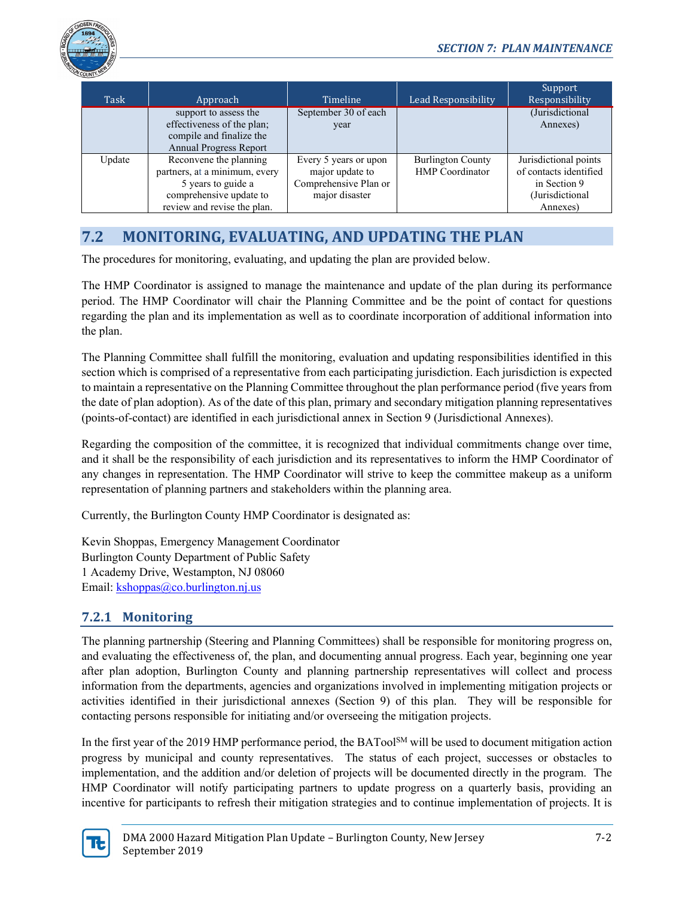

| Task   | Approach                      | Timeline              | Lead Responsibility      | Support<br>Responsibility |
|--------|-------------------------------|-----------------------|--------------------------|---------------------------|
|        | support to assess the         | September 30 of each  |                          | (Jurisdictional           |
|        | effectiveness of the plan;    | year                  |                          | Annexes)                  |
|        | compile and finalize the      |                       |                          |                           |
|        | <b>Annual Progress Report</b> |                       |                          |                           |
| Update | Reconvene the planning        | Every 5 years or upon | <b>Burlington County</b> | Jurisdictional points     |
|        | partners, at a minimum, every | major update to       | <b>HMP</b> Coordinator   | of contacts identified    |
|        | 5 years to guide a            | Comprehensive Plan or |                          | in Section 9              |
|        | comprehensive update to       | major disaster        |                          | (Jurisdictional           |
|        | review and revise the plan.   |                       |                          | Annexes)                  |

## **7.2 MONITORING, EVALUATING, AND UPDATING THE PLAN**

The procedures for monitoring, evaluating, and updating the plan are provided below.

The HMP Coordinator is assigned to manage the maintenance and update of the plan during its performance period. The HMP Coordinator will chair the Planning Committee and be the point of contact for questions regarding the plan and its implementation as well as to coordinate incorporation of additional information into the plan.

The Planning Committee shall fulfill the monitoring, evaluation and updating responsibilities identified in this section which is comprised of a representative from each participating jurisdiction. Each jurisdiction is expected to maintain a representative on the Planning Committee throughout the plan performance period (five years from the date of plan adoption). As of the date of this plan, primary and secondary mitigation planning representatives (points-of-contact) are identified in each jurisdictional annex in Section 9 (Jurisdictional Annexes).

Regarding the composition of the committee, it is recognized that individual commitments change over time, and it shall be the responsibility of each jurisdiction and its representatives to inform the HMP Coordinator of any changes in representation. The HMP Coordinator will strive to keep the committee makeup as a uniform representation of planning partners and stakeholders within the planning area.

Currently, the Burlington County HMP Coordinator is designated as:

Kevin Shoppas, Emergency Management Coordinator Burlington County Department of Public Safety 1 Academy Drive, Westampton, NJ 08060 Email[: kshoppas@co.burlington.nj.us](mailto:kshoppas@co.burlington.nj.us)

## **7.2.1 Monitoring**

The planning partnership (Steering and Planning Committees) shall be responsible for monitoring progress on, and evaluating the effectiveness of, the plan, and documenting annual progress. Each year, beginning one year after plan adoption, Burlington County and planning partnership representatives will collect and process information from the departments, agencies and organizations involved in implementing mitigation projects or activities identified in their jurisdictional annexes (Section 9) of this plan. They will be responsible for contacting persons responsible for initiating and/or overseeing the mitigation projects.

In the first year of the 2019 HMP performance period, the BATool<sup>SM</sup> will be used to document mitigation action progress by municipal and county representatives. The status of each project, successes or obstacles to implementation, and the addition and/or deletion of projects will be documented directly in the program. The HMP Coordinator will notify participating partners to update progress on a quarterly basis, providing an incentive for participants to refresh their mitigation strategies and to continue implementation of projects. It is

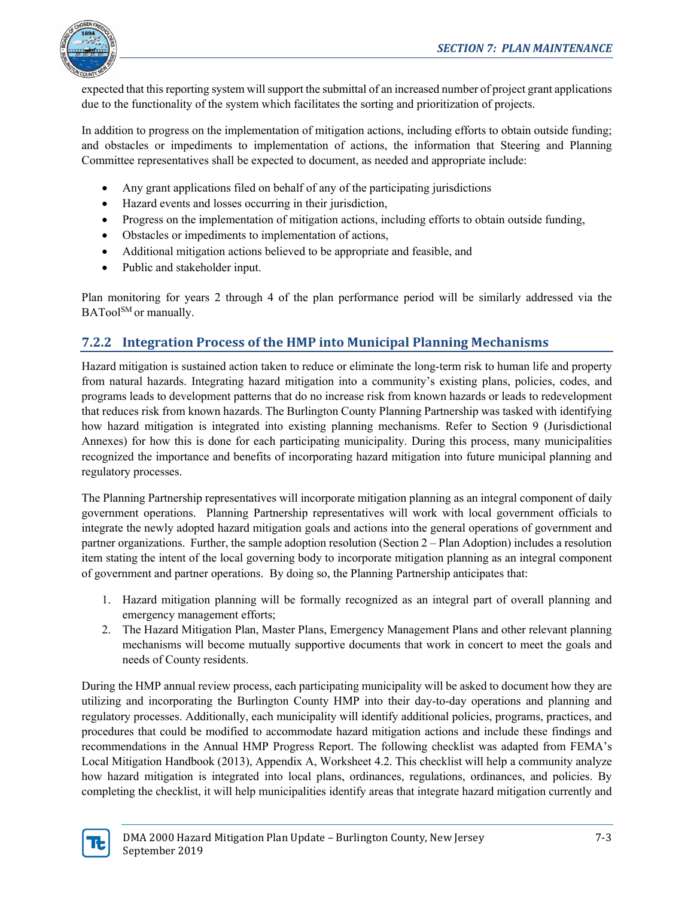

expected that this reporting system will support the submittal of an increased number of project grant applications due to the functionality of the system which facilitates the sorting and prioritization of projects.

In addition to progress on the implementation of mitigation actions, including efforts to obtain outside funding; and obstacles or impediments to implementation of actions, the information that Steering and Planning Committee representatives shall be expected to document, as needed and appropriate include:

- Any grant applications filed on behalf of any of the participating jurisdictions
- Hazard events and losses occurring in their jurisdiction,
- Progress on the implementation of mitigation actions, including efforts to obtain outside funding,
- Obstacles or impediments to implementation of actions,
- Additional mitigation actions believed to be appropriate and feasible, and
- Public and stakeholder input.

Plan monitoring for years 2 through 4 of the plan performance period will be similarly addressed via the BATool<sup>SM</sup> or manually.

### **7.2.2 Integration Process of the HMP into Municipal Planning Mechanisms**

Hazard mitigation is sustained action taken to reduce or eliminate the long-term risk to human life and property from natural hazards. Integrating hazard mitigation into a community's existing plans, policies, codes, and programs leads to development patterns that do no increase risk from known hazards or leads to redevelopment that reduces risk from known hazards. The Burlington County Planning Partnership was tasked with identifying how hazard mitigation is integrated into existing planning mechanisms. Refer to Section 9 (Jurisdictional Annexes) for how this is done for each participating municipality. During this process, many municipalities recognized the importance and benefits of incorporating hazard mitigation into future municipal planning and regulatory processes.

The Planning Partnership representatives will incorporate mitigation planning as an integral component of daily government operations. Planning Partnership representatives will work with local government officials to integrate the newly adopted hazard mitigation goals and actions into the general operations of government and partner organizations. Further, the sample adoption resolution (Section 2 – Plan Adoption) includes a resolution item stating the intent of the local governing body to incorporate mitigation planning as an integral component of government and partner operations. By doing so, the Planning Partnership anticipates that:

- 1. Hazard mitigation planning will be formally recognized as an integral part of overall planning and emergency management efforts;
- 2. The Hazard Mitigation Plan, Master Plans, Emergency Management Plans and other relevant planning mechanisms will become mutually supportive documents that work in concert to meet the goals and needs of County residents.

During the HMP annual review process, each participating municipality will be asked to document how they are utilizing and incorporating the Burlington County HMP into their day-to-day operations and planning and regulatory processes. Additionally, each municipality will identify additional policies, programs, practices, and procedures that could be modified to accommodate hazard mitigation actions and include these findings and recommendations in the Annual HMP Progress Report. The following checklist was adapted from FEMA's Local Mitigation Handbook (2013), Appendix A, Worksheet 4.2. This checklist will help a community analyze how hazard mitigation is integrated into local plans, ordinances, regulations, ordinances, and policies. By completing the checklist, it will help municipalities identify areas that integrate hazard mitigation currently and

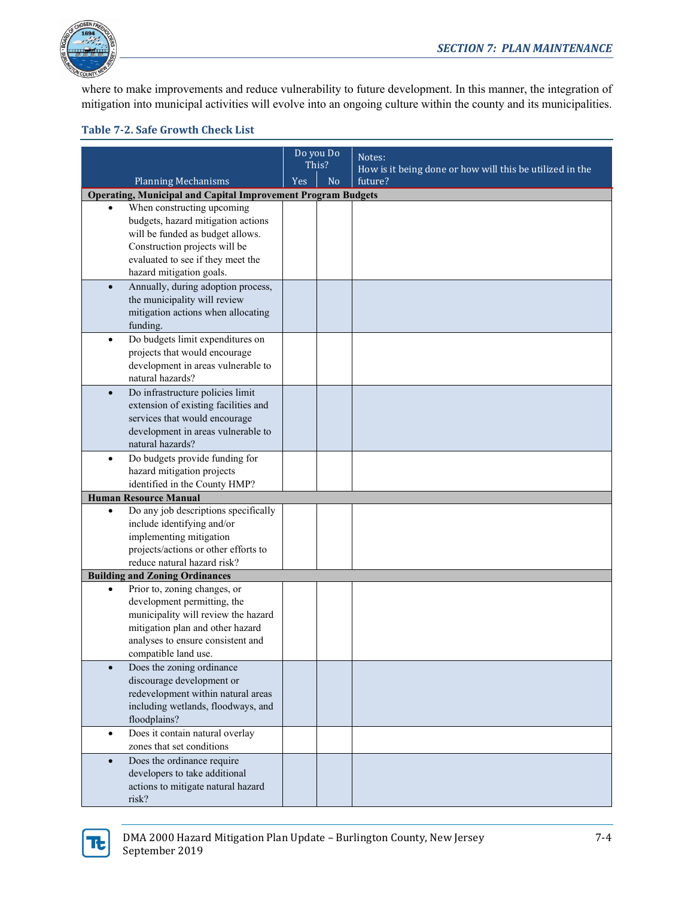

where to make improvements and reduce vulnerability to future development. In this manner, the integration of mitigation into municipal activities will evolve into an ongoing culture within the county and its municipalities.

#### **Table 7-2. Safe Growth Check List**

|                                                                     | Do you Do |                | Notes:                                                   |  |
|---------------------------------------------------------------------|-----------|----------------|----------------------------------------------------------|--|
|                                                                     |           | This?          | How is it being done or how will this be utilized in the |  |
| <b>Planning Mechanisms</b>                                          | Yes       | N <sub>o</sub> | future?                                                  |  |
| <b>Operating, Municipal and Capital Improvement Program Budgets</b> |           |                |                                                          |  |
| When constructing upcoming                                          |           |                |                                                          |  |
| budgets, hazard mitigation actions                                  |           |                |                                                          |  |
| will be funded as budget allows.                                    |           |                |                                                          |  |
| Construction projects will be                                       |           |                |                                                          |  |
| evaluated to see if they meet the                                   |           |                |                                                          |  |
| hazard mitigation goals.                                            |           |                |                                                          |  |
| Annually, during adoption process,<br>$\bullet$                     |           |                |                                                          |  |
| the municipality will review                                        |           |                |                                                          |  |
| mitigation actions when allocating                                  |           |                |                                                          |  |
| funding.                                                            |           |                |                                                          |  |
| Do budgets limit expenditures on<br>$\bullet$                       |           |                |                                                          |  |
| projects that would encourage                                       |           |                |                                                          |  |
| development in areas vulnerable to                                  |           |                |                                                          |  |
| natural hazards?                                                    |           |                |                                                          |  |
| Do infrastructure policies limit<br>$\bullet$                       |           |                |                                                          |  |
| extension of existing facilities and                                |           |                |                                                          |  |
| services that would encourage                                       |           |                |                                                          |  |
| development in areas vulnerable to                                  |           |                |                                                          |  |
| natural hazards?                                                    |           |                |                                                          |  |
| Do budgets provide funding for<br>$\bullet$                         |           |                |                                                          |  |
| hazard mitigation projects                                          |           |                |                                                          |  |
| identified in the County HMP?                                       |           |                |                                                          |  |
| <b>Human Resource Manual</b>                                        |           |                |                                                          |  |
| Do any job descriptions specifically<br>$\bullet$                   |           |                |                                                          |  |
| include identifying and/or                                          |           |                |                                                          |  |
| implementing mitigation                                             |           |                |                                                          |  |
| projects/actions or other efforts to                                |           |                |                                                          |  |
| reduce natural hazard risk?                                         |           |                |                                                          |  |
| <b>Building and Zoning Ordinances</b>                               |           |                |                                                          |  |
| Prior to, zoning changes, or<br>$\bullet$                           |           |                |                                                          |  |
| development permitting, the                                         |           |                |                                                          |  |
| municipality will review the hazard                                 |           |                |                                                          |  |
| mitigation plan and other hazard                                    |           |                |                                                          |  |
| analyses to ensure consistent and                                   |           |                |                                                          |  |
| compatible land use.                                                |           |                |                                                          |  |
| Does the zoning ordinance                                           |           |                |                                                          |  |
| discourage development or                                           |           |                |                                                          |  |
| redevelopment within natural areas                                  |           |                |                                                          |  |
| including wetlands, floodways, and                                  |           |                |                                                          |  |
| floodplains?                                                        |           |                |                                                          |  |
| Does it contain natural overlay<br>$\bullet$                        |           |                |                                                          |  |
| zones that set conditions                                           |           |                |                                                          |  |
| Does the ordinance require<br>$\bullet$                             |           |                |                                                          |  |
| developers to take additional                                       |           |                |                                                          |  |
| actions to mitigate natural hazard                                  |           |                |                                                          |  |
| risk?                                                               |           |                |                                                          |  |

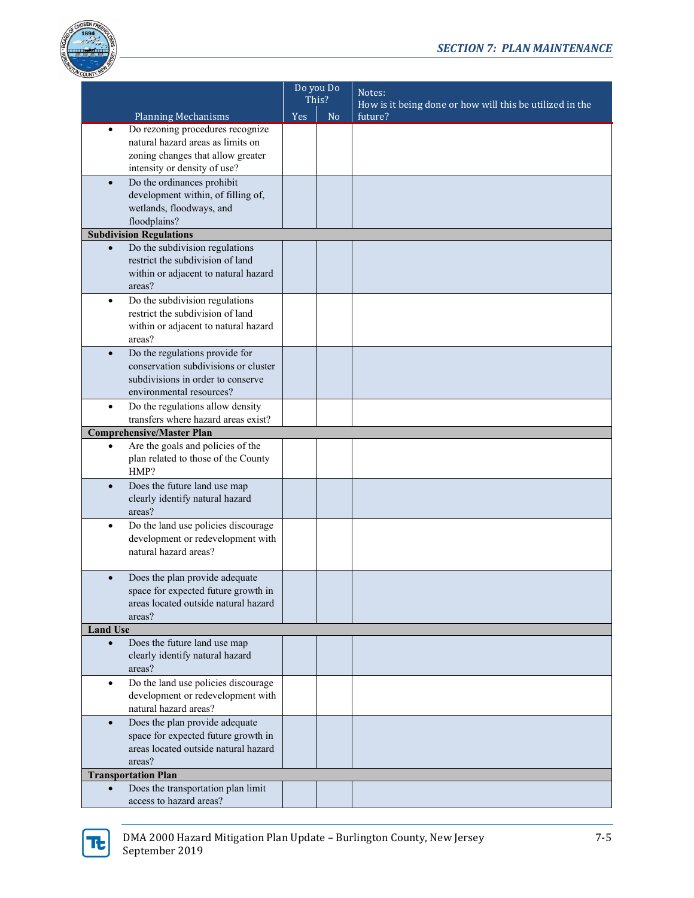

|                 |                                                                 | Do you Do<br>This? |                | Notes:                                                   |  |
|-----------------|-----------------------------------------------------------------|--------------------|----------------|----------------------------------------------------------|--|
|                 |                                                                 |                    |                | How is it being done or how will this be utilized in the |  |
|                 | <b>Planning Mechanisms</b>                                      | <b>Yes</b>         | N <sub>o</sub> | future?                                                  |  |
| $\bullet$       | Do rezoning procedures recognize                                |                    |                |                                                          |  |
|                 | natural hazard areas as limits on                               |                    |                |                                                          |  |
|                 | zoning changes that allow greater                               |                    |                |                                                          |  |
|                 | intensity or density of use?                                    |                    |                |                                                          |  |
| $\bullet$       | Do the ordinances prohibit                                      |                    |                |                                                          |  |
|                 | development within, of filling of,                              |                    |                |                                                          |  |
|                 | wetlands, floodways, and                                        |                    |                |                                                          |  |
|                 | floodplains?                                                    |                    |                |                                                          |  |
|                 | <b>Subdivision Regulations</b>                                  |                    |                |                                                          |  |
| $\bullet$       | Do the subdivision regulations                                  |                    |                |                                                          |  |
|                 | restrict the subdivision of land                                |                    |                |                                                          |  |
|                 | within or adjacent to natural hazard                            |                    |                |                                                          |  |
|                 | areas?                                                          |                    |                |                                                          |  |
| $\bullet$       | Do the subdivision regulations                                  |                    |                |                                                          |  |
|                 | restrict the subdivision of land                                |                    |                |                                                          |  |
|                 | within or adjacent to natural hazard                            |                    |                |                                                          |  |
|                 | areas?                                                          |                    |                |                                                          |  |
| $\bullet$       | Do the regulations provide for                                  |                    |                |                                                          |  |
|                 | conservation subdivisions or cluster                            |                    |                |                                                          |  |
|                 | subdivisions in order to conserve                               |                    |                |                                                          |  |
|                 | environmental resources?                                        |                    |                |                                                          |  |
| $\bullet$       | Do the regulations allow density                                |                    |                |                                                          |  |
|                 | transfers where hazard areas exist?                             |                    |                |                                                          |  |
|                 | <b>Comprehensive/Master Plan</b>                                |                    |                |                                                          |  |
| $\bullet$       | Are the goals and policies of the                               |                    |                |                                                          |  |
|                 | plan related to those of the County                             |                    |                |                                                          |  |
|                 | HMP?                                                            |                    |                |                                                          |  |
| $\bullet$       | Does the future land use map<br>clearly identify natural hazard |                    |                |                                                          |  |
|                 | areas?                                                          |                    |                |                                                          |  |
| $\bullet$       | Do the land use policies discourage                             |                    |                |                                                          |  |
|                 | development or redevelopment with                               |                    |                |                                                          |  |
|                 | natural hazard areas?                                           |                    |                |                                                          |  |
|                 |                                                                 |                    |                |                                                          |  |
| $\bullet$       | Does the plan provide adequate                                  |                    |                |                                                          |  |
|                 | space for expected future growth in                             |                    |                |                                                          |  |
|                 | areas located outside natural hazard                            |                    |                |                                                          |  |
|                 | areas?                                                          |                    |                |                                                          |  |
| <b>Land Use</b> |                                                                 |                    |                |                                                          |  |
| $\bullet$       | Does the future land use map                                    |                    |                |                                                          |  |
|                 | clearly identify natural hazard                                 |                    |                |                                                          |  |
|                 | areas?                                                          |                    |                |                                                          |  |
| ٠               | Do the land use policies discourage                             |                    |                |                                                          |  |
|                 | development or redevelopment with                               |                    |                |                                                          |  |
|                 | natural hazard areas?                                           |                    |                |                                                          |  |
| $\bullet$       | Does the plan provide adequate                                  |                    |                |                                                          |  |
|                 | space for expected future growth in                             |                    |                |                                                          |  |
|                 | areas located outside natural hazard                            |                    |                |                                                          |  |
|                 | areas?                                                          |                    |                |                                                          |  |
|                 | <b>Transportation Plan</b>                                      |                    |                |                                                          |  |
|                 | Does the transportation plan limit                              |                    |                |                                                          |  |
|                 | access to hazard areas?                                         |                    |                |                                                          |  |

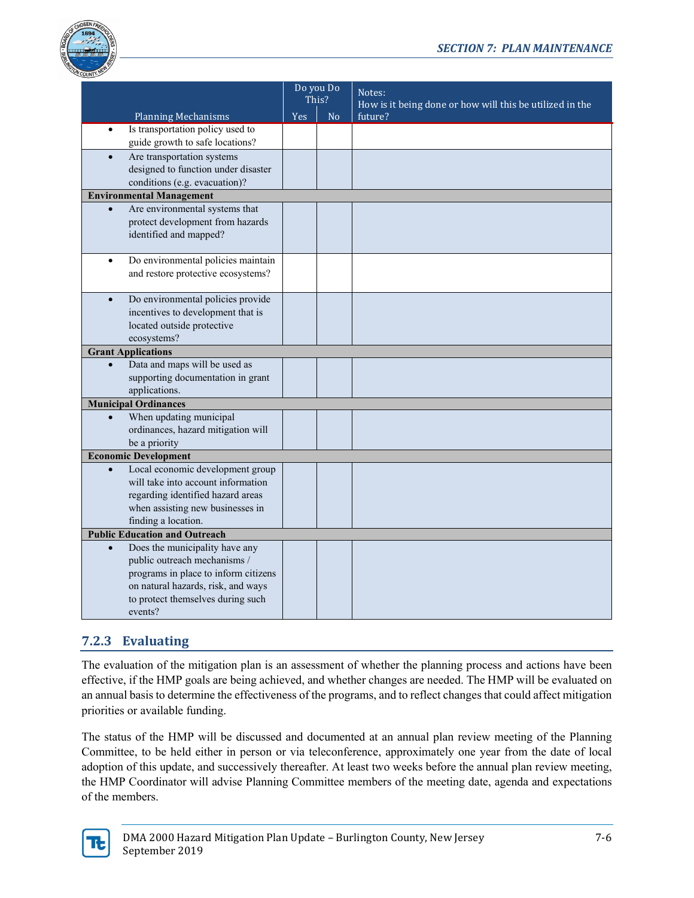

|                                                                          | Do you Do<br>This? |    | Notes:                                                   |
|--------------------------------------------------------------------------|--------------------|----|----------------------------------------------------------|
|                                                                          |                    |    | How is it being done or how will this be utilized in the |
| <b>Planning Mechanisms</b>                                               | Yes                | No | future?                                                  |
| Is transportation policy used to<br>$\bullet$                            |                    |    |                                                          |
| guide growth to safe locations?                                          |                    |    |                                                          |
| Are transportation systems<br>$\bullet$                                  |                    |    |                                                          |
| designed to function under disaster                                      |                    |    |                                                          |
| conditions (e.g. evacuation)?                                            |                    |    |                                                          |
| <b>Environmental Management</b>                                          |                    |    |                                                          |
| Are environmental systems that<br>$\bullet$                              |                    |    |                                                          |
| protect development from hazards                                         |                    |    |                                                          |
| identified and mapped?                                                   |                    |    |                                                          |
| $\bullet$                                                                |                    |    |                                                          |
| Do environmental policies maintain<br>and restore protective ecosystems? |                    |    |                                                          |
|                                                                          |                    |    |                                                          |
| Do environmental policies provide<br>$\bullet$                           |                    |    |                                                          |
| incentives to development that is                                        |                    |    |                                                          |
| located outside protective                                               |                    |    |                                                          |
| ecosystems?                                                              |                    |    |                                                          |
| <b>Grant Applications</b>                                                |                    |    |                                                          |
| Data and maps will be used as                                            |                    |    |                                                          |
| supporting documentation in grant                                        |                    |    |                                                          |
| applications.                                                            |                    |    |                                                          |
| <b>Municipal Ordinances</b>                                              |                    |    |                                                          |
| When updating municipal<br>$\bullet$                                     |                    |    |                                                          |
| ordinances, hazard mitigation will                                       |                    |    |                                                          |
| be a priority                                                            |                    |    |                                                          |
| <b>Economic Development</b>                                              |                    |    |                                                          |
| Local economic development group<br>$\bullet$                            |                    |    |                                                          |
| will take into account information                                       |                    |    |                                                          |
| regarding identified hazard areas                                        |                    |    |                                                          |
| when assisting new businesses in                                         |                    |    |                                                          |
| finding a location.                                                      |                    |    |                                                          |
| <b>Public Education and Outreach</b>                                     |                    |    |                                                          |
| Does the municipality have any<br>$\bullet$                              |                    |    |                                                          |
| public outreach mechanisms /                                             |                    |    |                                                          |
| programs in place to inform citizens                                     |                    |    |                                                          |
| on natural hazards, risk, and ways                                       |                    |    |                                                          |
| to protect themselves during such                                        |                    |    |                                                          |
| events?                                                                  |                    |    |                                                          |

## **7.2.3 Evaluating**

The evaluation of the mitigation plan is an assessment of whether the planning process and actions have been effective, if the HMP goals are being achieved, and whether changes are needed. The HMP will be evaluated on an annual basis to determine the effectiveness of the programs, and to reflect changes that could affect mitigation priorities or available funding.

The status of the HMP will be discussed and documented at an annual plan review meeting of the Planning Committee, to be held either in person or via teleconference, approximately one year from the date of local adoption of this update, and successively thereafter. At least two weeks before the annual plan review meeting, the HMP Coordinator will advise Planning Committee members of the meeting date, agenda and expectations of the members.

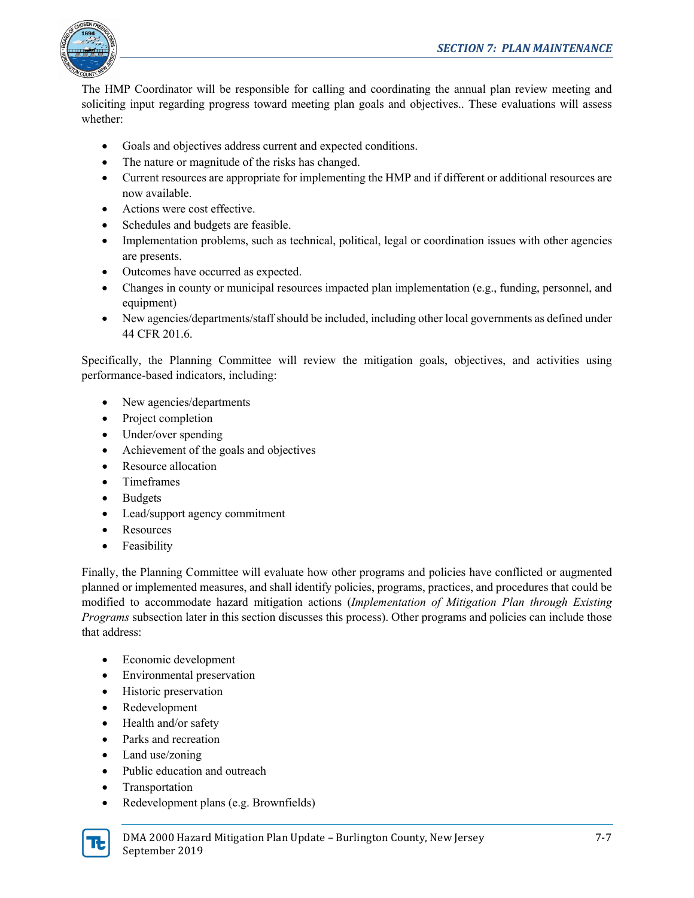

The HMP Coordinator will be responsible for calling and coordinating the annual plan review meeting and soliciting input regarding progress toward meeting plan goals and objectives.. These evaluations will assess whether:

- Goals and objectives address current and expected conditions.
- The nature or magnitude of the risks has changed.
- Current resources are appropriate for implementing the HMP and if different or additional resources are now available.
- Actions were cost effective.
- Schedules and budgets are feasible.
- Implementation problems, such as technical, political, legal or coordination issues with other agencies are presents.
- Outcomes have occurred as expected.
- Changes in county or municipal resources impacted plan implementation (e.g., funding, personnel, and equipment)
- New agencies/departments/staff should be included, including other local governments as defined under 44 CFR 201.6.

Specifically, the Planning Committee will review the mitigation goals, objectives, and activities using performance-based indicators, including:

- New agencies/departments
- Project completion
- Under/over spending
- Achievement of the goals and objectives
- Resource allocation
- Timeframes
- Budgets
- Lead/support agency commitment
- Resources
- Feasibility

Finally, the Planning Committee will evaluate how other programs and policies have conflicted or augmented planned or implemented measures, and shall identify policies, programs, practices, and procedures that could be modified to accommodate hazard mitigation actions (*Implementation of Mitigation Plan through Existing Programs* subsection later in this section discusses this process). Other programs and policies can include those that address:

- Economic development
- Environmental preservation
- Historic preservation
- Redevelopment
- Health and/or safety
- Parks and recreation
- Land use/zoning
- Public education and outreach
- Transportation
- Redevelopment plans (e.g. Brownfields)

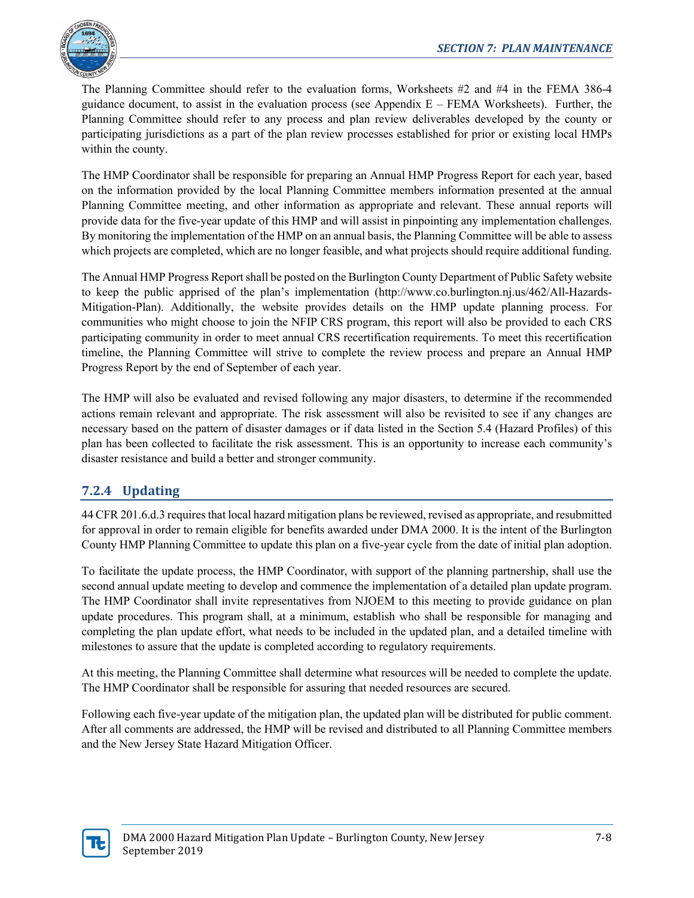

The Planning Committee should refer to the evaluation forms, Worksheets #2 and #4 in the FEMA 386-4 guidance document, to assist in the evaluation process (see Appendix  $E - FEMA$  Worksheets). Further, the Planning Committee should refer to any process and plan review deliverables developed by the county or participating jurisdictions as a part of the plan review processes established for prior or existing local HMPs within the county.

The HMP Coordinator shall be responsible for preparing an Annual HMP Progress Report for each year, based on the information provided by the local Planning Committee members information presented at the annual Planning Committee meeting, and other information as appropriate and relevant. These annual reports will provide data for the five-year update of this HMP and will assist in pinpointing any implementation challenges. By monitoring the implementation of the HMP on an annual basis, the Planning Committee will be able to assess which projects are completed, which are no longer feasible, and what projects should require additional funding.

The Annual HMP Progress Report shall be posted on the Burlington County Department of Public Safety website to keep the public apprised of the plan's implementation (http://www.co.burlington.nj.us/462/All-Hazards-Mitigation-Plan). Additionally, the website provides details on the HMP update planning process. For communities who might choose to join the NFIP CRS program, this report will also be provided to each CRS participating community in order to meet annual CRS recertification requirements. To meet this recertification timeline, the Planning Committee will strive to complete the review process and prepare an Annual HMP Progress Report by the end of September of each year.

The HMP will also be evaluated and revised following any major disasters, to determine if the recommended actions remain relevant and appropriate. The risk assessment will also be revisited to see if any changes are necessary based on the pattern of disaster damages or if data listed in the Section 5.4 (Hazard Profiles) of this plan has been collected to facilitate the risk assessment. This is an opportunity to increase each community's disaster resistance and build a better and stronger community.

## **7.2.4 Updating**

44 CFR 201.6.d.3 requires that local hazard mitigation plans be reviewed, revised as appropriate, and resubmitted for approval in order to remain eligible for benefits awarded under DMA 2000. It is the intent of the Burlington County HMP Planning Committee to update this plan on a five-year cycle from the date of initial plan adoption.

To facilitate the update process, the HMP Coordinator, with support of the planning partnership, shall use the second annual update meeting to develop and commence the implementation of a detailed plan update program. The HMP Coordinator shall invite representatives from NJOEM to this meeting to provide guidance on plan update procedures. This program shall, at a minimum, establish who shall be responsible for managing and completing the plan update effort, what needs to be included in the updated plan, and a detailed timeline with milestones to assure that the update is completed according to regulatory requirements.

At this meeting, the Planning Committee shall determine what resources will be needed to complete the update. The HMP Coordinator shall be responsible for assuring that needed resources are secured.

Following each five-year update of the mitigation plan, the updated plan will be distributed for public comment. After all comments are addressed, the HMP will be revised and distributed to all Planning Committee members and the New Jersey State Hazard Mitigation Officer.

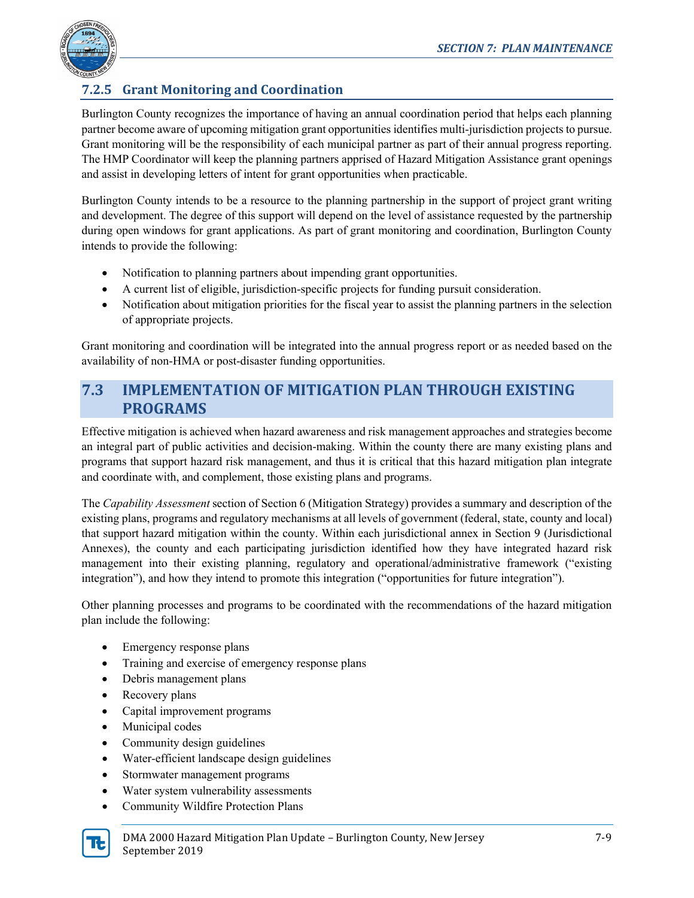

## **7.2.5 Grant Monitoring and Coordination**

Burlington County recognizes the importance of having an annual coordination period that helps each planning partner become aware of upcoming mitigation grant opportunities identifies multi-jurisdiction projects to pursue. Grant monitoring will be the responsibility of each municipal partner as part of their annual progress reporting. The HMP Coordinator will keep the planning partners apprised of Hazard Mitigation Assistance grant openings and assist in developing letters of intent for grant opportunities when practicable.

Burlington County intends to be a resource to the planning partnership in the support of project grant writing and development. The degree of this support will depend on the level of assistance requested by the partnership during open windows for grant applications. As part of grant monitoring and coordination, Burlington County intends to provide the following:

- Notification to planning partners about impending grant opportunities.
- A current list of eligible, jurisdiction-specific projects for funding pursuit consideration.
- Notification about mitigation priorities for the fiscal year to assist the planning partners in the selection of appropriate projects.

Grant monitoring and coordination will be integrated into the annual progress report or as needed based on the availability of non-HMA or post-disaster funding opportunities.

## **7.3 IMPLEMENTATION OF MITIGATION PLAN THROUGH EXISTING PROGRAMS**

Effective mitigation is achieved when hazard awareness and risk management approaches and strategies become an integral part of public activities and decision-making. Within the county there are many existing plans and programs that support hazard risk management, and thus it is critical that this hazard mitigation plan integrate and coordinate with, and complement, those existing plans and programs.

The *Capability Assessment* section of Section 6 (Mitigation Strategy) provides a summary and description of the existing plans, programs and regulatory mechanisms at all levels of government (federal, state, county and local) that support hazard mitigation within the county. Within each jurisdictional annex in Section 9 (Jurisdictional Annexes), the county and each participating jurisdiction identified how they have integrated hazard risk management into their existing planning, regulatory and operational/administrative framework ("existing integration"), and how they intend to promote this integration ("opportunities for future integration").

Other planning processes and programs to be coordinated with the recommendations of the hazard mitigation plan include the following:

- Emergency response plans
- Training and exercise of emergency response plans
- Debris management plans
- Recovery plans
- Capital improvement programs
- Municipal codes
- Community design guidelines
- Water-efficient landscape design guidelines
- Stormwater management programs
- Water system vulnerability assessments
- Community Wildfire Protection Plans

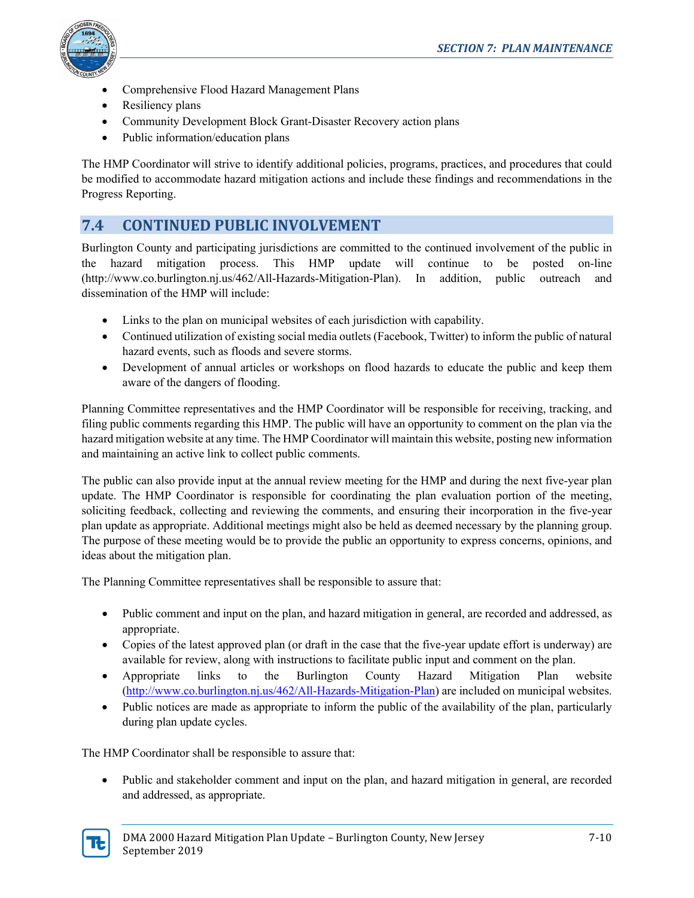

- Comprehensive Flood Hazard Management Plans
- Resiliency plans
- Community Development Block Grant-Disaster Recovery action plans
- Public information/education plans

The HMP Coordinator will strive to identify additional policies, programs, practices, and procedures that could be modified to accommodate hazard mitigation actions and include these findings and recommendations in the Progress Reporting.

## **7.4 CONTINUED PUBLIC INVOLVEMENT**

Burlington County and participating jurisdictions are committed to the continued involvement of the public in the hazard mitigation process. This HMP update will continue to be posted on-line (http://www.co.burlington.nj.us/462/All-Hazards-Mitigation-Plan). In addition, public outreach and dissemination of the HMP will include:

- Links to the plan on municipal websites of each jurisdiction with capability.
- Continued utilization of existing social media outlets (Facebook, Twitter) to inform the public of natural hazard events, such as floods and severe storms.
- Development of annual articles or workshops on flood hazards to educate the public and keep them aware of the dangers of flooding.

Planning Committee representatives and the HMP Coordinator will be responsible for receiving, tracking, and filing public comments regarding this HMP. The public will have an opportunity to comment on the plan via the hazard mitigation website at any time. The HMP Coordinator will maintain this website, posting new information and maintaining an active link to collect public comments.

The public can also provide input at the annual review meeting for the HMP and during the next five-year plan update. The HMP Coordinator is responsible for coordinating the plan evaluation portion of the meeting, soliciting feedback, collecting and reviewing the comments, and ensuring their incorporation in the five-year plan update as appropriate. Additional meetings might also be held as deemed necessary by the planning group. The purpose of these meeting would be to provide the public an opportunity to express concerns, opinions, and ideas about the mitigation plan.

The Planning Committee representatives shall be responsible to assure that:

- Public comment and input on the plan, and hazard mitigation in general, are recorded and addressed, as appropriate.
- Copies of the latest approved plan (or draft in the case that the five-year update effort is underway) are available for review, along with instructions to facilitate public input and comment on the plan.
- Appropriate links to the Burlington County Hazard Mitigation Plan website [\(http://www.co.burlington.nj.us/462/All-Hazards-Mitigation-Plan\)](http://www.co.burlington.nj.us/462/All-Hazards-Mitigation-Plan) are included on municipal websites.
- Public notices are made as appropriate to inform the public of the availability of the plan, particularly during plan update cycles.

The HMP Coordinator shall be responsible to assure that:

• Public and stakeholder comment and input on the plan, and hazard mitigation in general, are recorded and addressed, as appropriate.